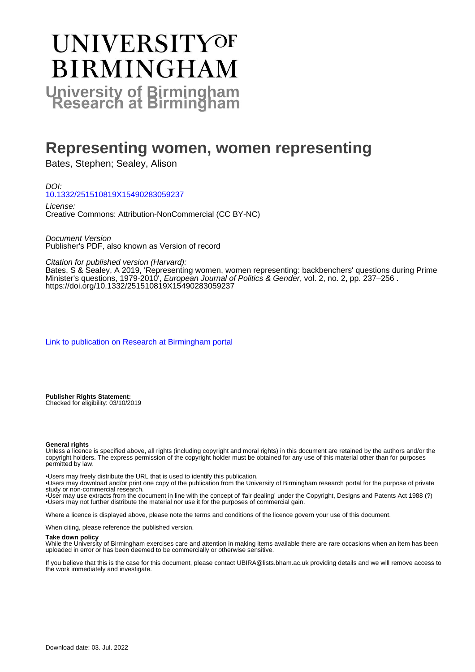# UNIVERSITYOF **BIRMINGHAM University of Birmingham**

# **Representing women, women representing**

Bates, Stephen; Sealey, Alison

DOI: [10.1332/251510819X15490283059237](https://doi.org/10.1332/251510819X15490283059237)

License: Creative Commons: Attribution-NonCommercial (CC BY-NC)

Document Version Publisher's PDF, also known as Version of record

Citation for published version (Harvard):

Bates, S & Sealey, A 2019, 'Representing women, women representing: backbenchers' questions during Prime Minister's questions, 1979-2010', *European Journal of Politics & Gender*, vol. 2, no. 2, pp. 237–256 . <https://doi.org/10.1332/251510819X15490283059237>

[Link to publication on Research at Birmingham portal](https://birmingham.elsevierpure.com/en/publications/8ec11934-28ec-4ded-9b71-1feca01cfebb)

**Publisher Rights Statement:** Checked for eligibility: 03/10/2019

#### **General rights**

Unless a licence is specified above, all rights (including copyright and moral rights) in this document are retained by the authors and/or the copyright holders. The express permission of the copyright holder must be obtained for any use of this material other than for purposes permitted by law.

• Users may freely distribute the URL that is used to identify this publication.

• Users may download and/or print one copy of the publication from the University of Birmingham research portal for the purpose of private study or non-commercial research.

• User may use extracts from the document in line with the concept of 'fair dealing' under the Copyright, Designs and Patents Act 1988 (?) • Users may not further distribute the material nor use it for the purposes of commercial gain.

Where a licence is displayed above, please note the terms and conditions of the licence govern your use of this document.

When citing, please reference the published version.

#### **Take down policy**

While the University of Birmingham exercises care and attention in making items available there are rare occasions when an item has been uploaded in error or has been deemed to be commercially or otherwise sensitive.

If you believe that this is the case for this document, please contact UBIRA@lists.bham.ac.uk providing details and we will remove access to the work immediately and investigate.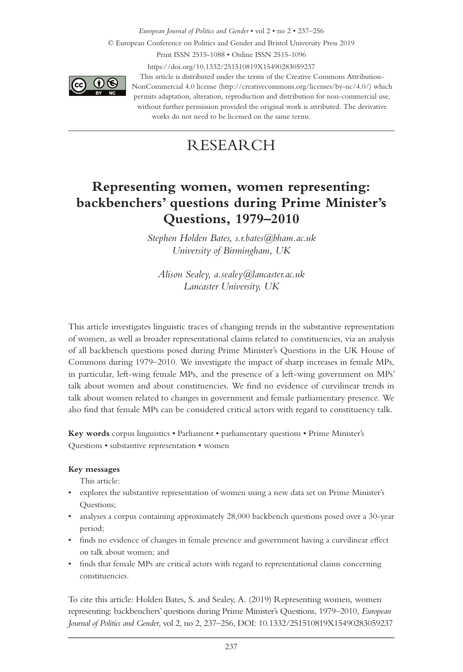*European Journal of Politics and Gender* • vol 2 • no 2 • 237–256 © European Conference on Politics and Gender and Bristol University Press 2019 Print ISSN 2515-1088 • Online ISSN 2515-1096 https://doi.org/10.1332/251510819X15490283059237



This article is distributed under the terms of the Creative Commons Attribution-NonCommercial 4.0 license (http://creativecommons.org/licenses/by-nc/4.0/) which permits adaptation, alteration, reproduction and distribution for non-commercial use, without further permission provided the original work is attributed. The derivative works do not need to be licensed on the same terms.

# RESEARCH

# **Representing women, women representing: backbenchers' questions during Prime Minister's Questions, 1979–2010**

*Stephen Holden Bates, s.r.bates@bham.ac.uk University of Birmingham, UK*

*Alison Sealey, a.sealey@lancaster.ac.uk Lancaster University, UK*

This article investigates linguistic traces of changing trends in the substantive representation of women, as well as broader representational claims related to constituencies, via an analysis of all backbench questions posed during Prime Minister's Questions in the UK House of Commons during 1979–2010. We investigate the impact of sharp increases in female MPs, in particular, left-wing female MPs, and the presence of a left-wing government on MPs' talk about women and about constituencies. We find no evidence of curvilinear trends in talk about women related to changes in government and female parliamentary presence. We also find that female MPs can be considered critical actors with regard to constituency talk.

**Key words** corpus linguistics • Parliament • parliamentary questions • Prime Minister's Questions • substantive representation • women

### **Key messages**

This article:

- explores the substantive representation of women using a new data set on Prime Minister's Questions;
- analyses a corpus containing approximately 28,000 backbench questions posed over a 30-year period;
- finds no evidence of changes in female presence and government having a curvilinear effect on talk about women; and
- finds that female MPs are critical actors with regard to representational claims concerning constituencies.

To cite this article: Holden Bates, S. and Sealey, A. (2019) Representing women, women representing: backbenchers' questions during Prime Minister's Questions, 1979–2010, *European Journal of Politics and Gender*, vol 2, no 2, 237–256, DOI: 10.1332/251510819X15490283059237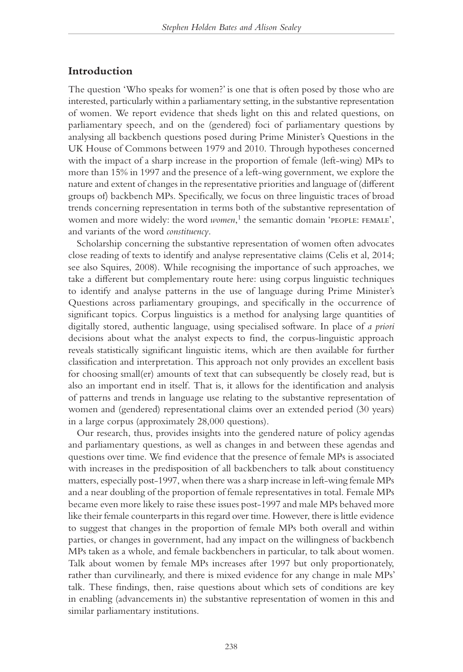# **Introduction**

The question 'Who speaks for women?' is one that is often posed by those who are interested, particularly within a parliamentary setting, in the substantive representation of women. We report evidence that sheds light on this and related questions, on parliamentary speech, and on the (gendered) foci of parliamentary questions by analysing all backbench questions posed during Prime Minister's Questions in the UK House of Commons between 1979 and 2010. Through hypotheses concerned with the impact of a sharp increase in the proportion of female (left-wing) MPs to more than 15% in 1997 and the presence of a left-wing government, we explore the nature and extent of changes in the representative priorities and language of (different groups of) backbench MPs. Specifically, we focus on three linguistic traces of broad trends concerning representation in terms both of the substantive representation of women and more widely: the word *women*,<sup>1</sup> the semantic domain 'PEOPLE: FEMALE', and variants of the word *constituency*.

Scholarship concerning the substantive representation of women often advocates close reading of texts to identify and analyse representative claims (Celis et al, 2014; see also Squires, 2008). While recognising the importance of such approaches, we take a different but complementary route here: using corpus linguistic techniques to identify and analyse patterns in the use of language during Prime Minister's Questions across parliamentary groupings, and specifically in the occurrence of significant topics. Corpus linguistics is a method for analysing large quantities of digitally stored, authentic language, using specialised software. In place of *a priori* decisions about what the analyst expects to find, the corpus-linguistic approach reveals statistically significant linguistic items, which are then available for further classification and interpretation. This approach not only provides an excellent basis for choosing small(er) amounts of text that can subsequently be closely read, but is also an important end in itself. That is, it allows for the identification and analysis of patterns and trends in language use relating to the substantive representation of women and (gendered) representational claims over an extended period (30 years) in a large corpus (approximately 28,000 questions).

Our research, thus, provides insights into the gendered nature of policy agendas and parliamentary questions, as well as changes in and between these agendas and questions over time. We find evidence that the presence of female MPs is associated with increases in the predisposition of all backbenchers to talk about constituency matters, especially post-1997, when there was a sharp increase in left-wing female MPs and a near doubling of the proportion of female representatives in total. Female MPs became even more likely to raise these issues post-1997 and male MPs behaved more like their female counterparts in this regard over time. However, there is little evidence to suggest that changes in the proportion of female MPs both overall and within parties, or changes in government, had any impact on the willingness of backbench MPs taken as a whole, and female backbenchers in particular, to talk about women. Talk about women by female MPs increases after 1997 but only proportionately, rather than curvilinearly, and there is mixed evidence for any change in male MPs' talk. These findings, then, raise questions about which sets of conditions are key in enabling (advancements in) the substantive representation of women in this and similar parliamentary institutions.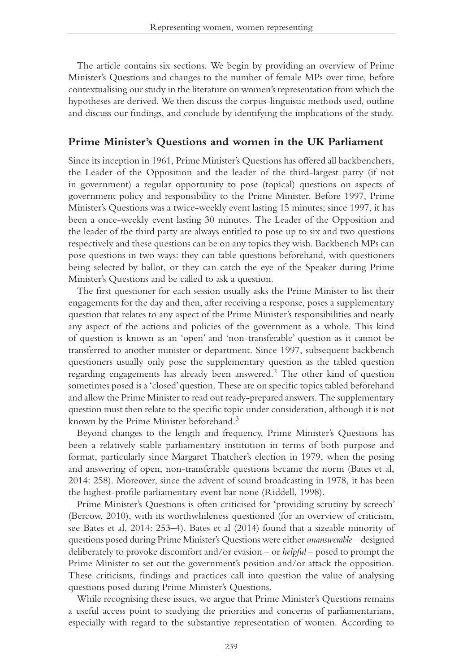The article contains six sections. We begin by providing an overview of Prime Minister's Questions and changes to the number of female MPs over time, before contextualising our study in the literature on women's representation from which the hypotheses are derived. We then discuss the corpus-linguistic methods used, outline and discuss our findings, and conclude by identifying the implications of the study.

## **Prime Minister's Questions and women in the UK Parliament**

Since its inception in 1961, Prime Minister's Questions has offered all backbenchers, the Leader of the Opposition and the leader of the third-largest party (if not in government) a regular opportunity to pose (topical) questions on aspects of government policy and responsibility to the Prime Minister. Before 1997, Prime Minister's Questions was a twice-weekly event lasting 15 minutes; since 1997, it has been a once-weekly event lasting 30 minutes. The Leader of the Opposition and the leader of the third party are always entitled to pose up to six and two questions respectively and these questions can be on any topics they wish. Backbench MPs can pose questions in two ways: they can table questions beforehand, with questioners being selected by ballot, or they can catch the eye of the Speaker during Prime Minister's Questions and be called to ask a question.

The first questioner for each session usually asks the Prime Minister to list their engagements for the day and then, after receiving a response, poses a supplementary question that relates to any aspect of the Prime Minister's responsibilities and nearly any aspect of the actions and policies of the government as a whole. This kind of question is known as an 'open' and 'non-transferable' question as it cannot be transferred to another minister or department. Since 1997, subsequent backbench questioners usually only pose the supplementary question as the tabled question regarding engagements has already been answered.2 The other kind of question sometimes posed is a 'closed' question. These are on specific topics tabled beforehand and allow the Prime Minister to read out ready-prepared answers. The supplementary question must then relate to the specific topic under consideration, although it is not known by the Prime Minister beforehand.3

Beyond changes to the length and frequency, Prime Minister's Questions has been a relatively stable parliamentary institution in terms of both purpose and format, particularly since Margaret Thatcher's election in 1979, when the posing and answering of open, non-transferable questions became the norm (Bates et al, 2014: 258). Moreover, since the advent of sound broadcasting in 1978, it has been the highest-profile parliamentary event bar none (Riddell, 1998).

Prime Minister's Questions is often criticised for 'providing scrutiny by screech' (Bercow, 2010), with its worthwhileness questioned (for an overview of criticism, see Bates et al, 2014: 253–4). Bates et al (2014) found that a sizeable minority of questions posed during Prime Minister's Questions were either *unanswerable* – designed deliberately to provoke discomfort and/or evasion – or *helpful* – posed to prompt the Prime Minister to set out the government's position and/or attack the opposition. These criticisms, findings and practices call into question the value of analysing questions posed during Prime Minister's Questions.

While recognising these issues, we argue that Prime Minister's Questions remains a useful access point to studying the priorities and concerns of parliamentarians, especially with regard to the substantive representation of women. According to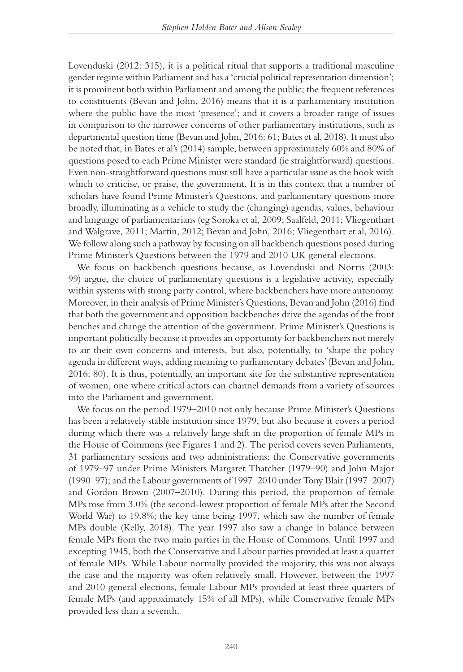Lovenduski (2012: 315), it is a political ritual that supports a traditional masculine gender regime within Parliament and has a 'crucial political representation dimension'; it is prominent both within Parliament and among the public; the frequent references to constituents (Bevan and John, 2016) means that it is a parliamentary institution where the public have the most 'presence'; and it covers a broader range of issues in comparison to the narrower concerns of other parliamentary institutions, such as departmental question time (Bevan and John, 2016: 61; Bates et al, 2018). It must also be noted that, in Bates et al's (2014) sample, between approximately 60% and 80% of questions posed to each Prime Minister were standard (ie straightforward) questions. Even non-straightforward questions must still have a particular issue as the hook with which to criticise, or praise, the government. It is in this context that a number of scholars have found Prime Minister's Questions, and parliamentary questions more broadly, illuminating as a vehicle to study the (changing) agendas, values, behaviour and language of parliamentarians (eg Soroka et al, 2009; Saalfeld, 2011; Vliegenthart and Walgrave, 2011; Martin, 2012; Bevan and John, 2016; Vliegenthart et al, 2016). We follow along such a pathway by focusing on all backbench questions posed during Prime Minister's Questions between the 1979 and 2010 UK general elections.

We focus on backbench questions because, as Lovenduski and Norris (2003: 99) argue, the choice of parliamentary questions is a legislative activity, especially within systems with strong party control, where backbenchers have more autonomy. Moreover, in their analysis of Prime Minister's Questions, Bevan and John (2016) find that both the government and opposition backbenches drive the agendas of the front benches and change the attention of the government. Prime Minister's Questions is important politically because it provides an opportunity for backbenchers not merely to air their own concerns and interests, but also, potentially, to 'shape the policy agenda in different ways, adding meaning to parliamentary debates' (Bevan and John, 2016: 80). It is thus, potentially, an important site for the substantive representation of women, one where critical actors can channel demands from a variety of sources into the Parliament and government.

We focus on the period 1979–2010 not only because Prime Minister's Questions has been a relatively stable institution since 1979, but also because it covers a period during which there was a relatively large shift in the proportion of female MPs in the House of Commons (see Figures 1 and 2). The period covers seven Parliaments, 31 parliamentary sessions and two administrations: the Conservative governments of 1979–97 under Prime Ministers Margaret Thatcher (1979–90) and John Major (1990–97); and the Labour governments of 1997–2010 under Tony Blair (1997–2007) and Gordon Brown (2007–2010). During this period, the proportion of female MPs rose from 3.0% (the second-lowest proportion of female MPs after the Second World War) to 19.8%; the key time being 1997, which saw the number of female MPs double (Kelly, 2018). The year 1997 also saw a change in balance between female MPs from the two main parties in the House of Commons. Until 1997 and excepting 1945, both the Conservative and Labour parties provided at least a quarter of female MPs. While Labour normally provided the majority, this was not always the case and the majority was often relatively small. However, between the 1997 and 2010 general elections, female Labour MPs provided at least three quarters of female MPs (and approximately 15% of all MPs), while Conservative female MPs provided less than a seventh.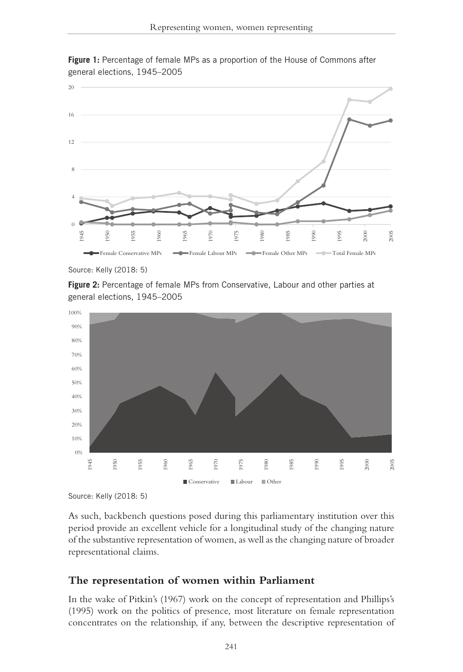

**Figure 1:** Percentage of female MPs as a proportion of the House of Commons after general elections, 1945–2005

**Figure 2:** Percentage of female MPs from Conservative, Labour and other parties at general elections, 1945–2005



Source: Kelly (2018: 5)

As such, backbench questions posed during this parliamentary institution over this period provide an excellent vehicle for a longitudinal study of the changing nature of the substantive representation of women, as well as the changing nature of broader representational claims.

# **The representation of women within Parliament**

In the wake of Pitkin's (1967) work on the concept of representation and Phillips's (1995) work on the politics of presence, most literature on female representation concentrates on the relationship, if any, between the descriptive representation of

Source: Kelly (2018: 5)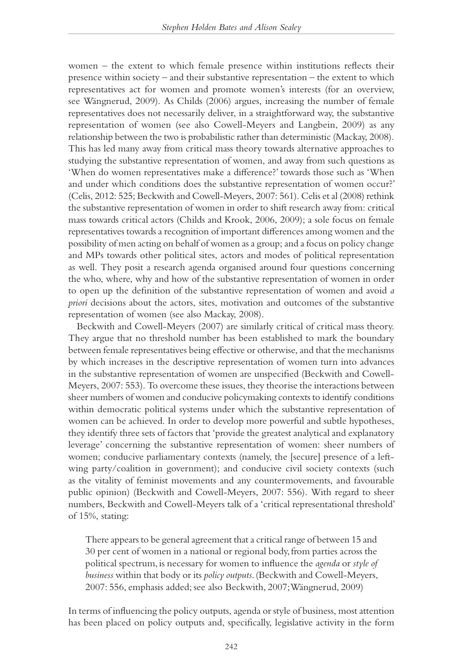women – the extent to which female presence within institutions reflects their presence within society – and their substantive representation – the extent to which representatives act for women and promote women's interests (for an overview, see Wängnerud, 2009). As Childs (2006) argues, increasing the number of female representatives does not necessarily deliver, in a straightforward way, the substantive representation of women (see also Cowell-Meyers and Langbein, 2009) as any relationship between the two is probabilistic rather than deterministic (Mackay, 2008). This has led many away from critical mass theory towards alternative approaches to studying the substantive representation of women, and away from such questions as 'When do women representatives make a difference?' towards those such as 'When and under which conditions does the substantive representation of women occur?' (Celis, 2012: 525; Beckwith and Cowell-Meyers, 2007: 561). Celis et al (2008) rethink the substantive representation of women in order to shift research away from: critical mass towards critical actors (Childs and Krook, 2006, 2009); a sole focus on female representatives towards a recognition of important differences among women and the possibility of men acting on behalf of women as a group; and a focus on policy change and MPs towards other political sites, actors and modes of political representation as well. They posit a research agenda organised around four questions concerning the who, where, why and how of the substantive representation of women in order to open up the definition of the substantive representation of women and avoid *a priori* decisions about the actors, sites, motivation and outcomes of the substantive representation of women (see also Mackay, 2008).

Beckwith and Cowell-Meyers (2007) are similarly critical of critical mass theory. They argue that no threshold number has been established to mark the boundary between female representatives being effective or otherwise, and that the mechanisms by which increases in the descriptive representation of women turn into advances in the substantive representation of women are unspecified (Beckwith and Cowell-Meyers, 2007: 553). To overcome these issues, they theorise the interactions between sheer numbers of women and conducive policymaking contexts to identify conditions within democratic political systems under which the substantive representation of women can be achieved. In order to develop more powerful and subtle hypotheses, they identify three sets of factors that 'provide the greatest analytical and explanatory leverage' concerning the substantive representation of women: sheer numbers of women; conducive parliamentary contexts (namely, the [secure] presence of a leftwing party/coalition in government); and conducive civil society contexts (such as the vitality of feminist movements and any countermovements, and favourable public opinion) (Beckwith and Cowell-Meyers, 2007: 556). With regard to sheer numbers, Beckwith and Cowell-Meyers talk of a 'critical representational threshold' of 15%, stating:

There appears to be general agreement that a critical range of between 15 and 30 per cent of women in a national or regional body, from parties across the political spectrum, is necessary for women to influence the *agenda* or *style of business* within that body or its *policy outputs*. (Beckwith and Cowell-Meyers, 2007: 556, emphasis added; see also Beckwith, 2007; Wängnerud, 2009)

In terms of influencing the policy outputs, agenda or style of business, most attention has been placed on policy outputs and, specifically, legislative activity in the form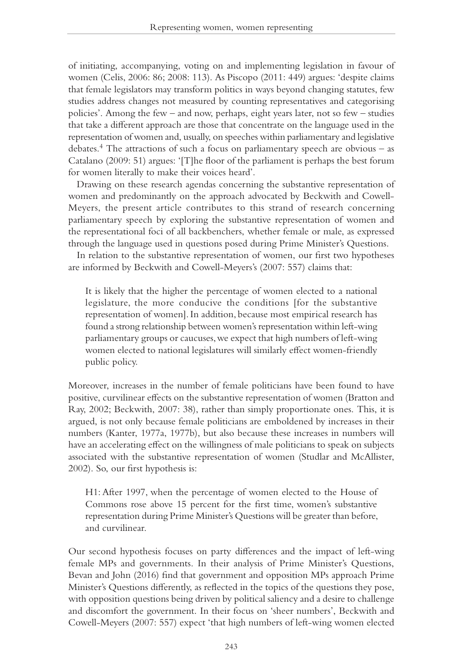of initiating, accompanying, voting on and implementing legislation in favour of women (Celis, 2006: 86; 2008: 113). As Piscopo (2011: 449) argues: 'despite claims that female legislators may transform politics in ways beyond changing statutes, few studies address changes not measured by counting representatives and categorising policies'. Among the few – and now, perhaps, eight years later, not so few – studies that take a different approach are those that concentrate on the language used in the representation of women and, usually, on speeches within parliamentary and legislative debates.<sup>4</sup> The attractions of such a focus on parliamentary speech are obvious  $-$  as Catalano (2009: 51) argues: '[T]he floor of the parliament is perhaps the best forum for women literally to make their voices heard'.

Drawing on these research agendas concerning the substantive representation of women and predominantly on the approach advocated by Beckwith and Cowell-Meyers, the present article contributes to this strand of research concerning parliamentary speech by exploring the substantive representation of women and the representational foci of all backbenchers, whether female or male, as expressed through the language used in questions posed during Prime Minister's Questions.

In relation to the substantive representation of women, our first two hypotheses are informed by Beckwith and Cowell-Meyers's (2007: 557) claims that:

It is likely that the higher the percentage of women elected to a national legislature, the more conducive the conditions [for the substantive representation of women]. In addition, because most empirical research has found a strong relationship between women's representation within left-wing parliamentary groups or caucuses, we expect that high numbers of left-wing women elected to national legislatures will similarly effect women-friendly public policy.

Moreover, increases in the number of female politicians have been found to have positive, curvilinear effects on the substantive representation of women (Bratton and Ray, 2002; Beckwith, 2007: 38), rather than simply proportionate ones. This, it is argued, is not only because female politicians are emboldened by increases in their numbers (Kanter, 1977a, 1977b), but also because these increases in numbers will have an accelerating effect on the willingness of male politicians to speak on subjects associated with the substantive representation of women (Studlar and McAllister, 2002). So, our first hypothesis is:

H1: After 1997, when the percentage of women elected to the House of Commons rose above 15 percent for the first time, women's substantive representation during Prime Minister's Questions will be greater than before, and curvilinear.

Our second hypothesis focuses on party differences and the impact of left-wing female MPs and governments. In their analysis of Prime Minister's Questions, Bevan and John (2016) find that government and opposition MPs approach Prime Minister's Questions differently, as reflected in the topics of the questions they pose, with opposition questions being driven by political saliency and a desire to challenge and discomfort the government. In their focus on 'sheer numbers', Beckwith and Cowell-Meyers (2007: 557) expect 'that high numbers of left-wing women elected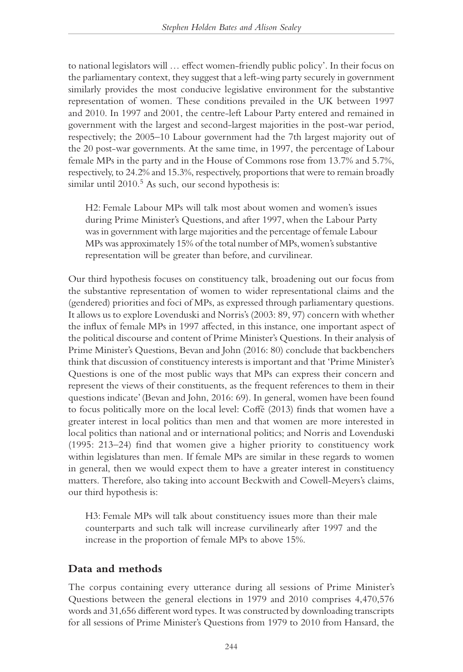to national legislators will … effect women-friendly public policy'. In their focus on the parliamentary context, they suggest that a left-wing party securely in government similarly provides the most conducive legislative environment for the substantive representation of women. These conditions prevailed in the UK between 1997 and 2010. In 1997 and 2001, the centre-left Labour Party entered and remained in government with the largest and second-largest majorities in the post-war period, respectively; the 2005–10 Labour government had the 7th largest majority out of the 20 post-war governments. At the same time, in 1997, the percentage of Labour female MPs in the party and in the House of Commons rose from 13.7% and 5.7%, respectively, to 24.2% and 15.3%, respectively, proportions that were to remain broadly similar until  $2010<sup>5</sup>$  As such, our second hypothesis is:

H2: Female Labour MPs will talk most about women and women's issues during Prime Minister's Questions, and after 1997, when the Labour Party was in government with large majorities and the percentage of female Labour MPs was approximately 15% of the total number of MPs, women's substantive representation will be greater than before, and curvilinear.

Our third hypothesis focuses on constituency talk, broadening out our focus from the substantive representation of women to wider representational claims and the (gendered) priorities and foci of MPs, as expressed through parliamentary questions. It allows us to explore Lovenduski and Norris's (2003: 89, 97) concern with whether the influx of female MPs in 1997 affected, in this instance, one important aspect of the political discourse and content of Prime Minister's Questions. In their analysis of Prime Minister's Questions, Bevan and John (2016: 80) conclude that backbenchers think that discussion of constituency interests is important and that 'Prime Minister's Questions is one of the most public ways that MPs can express their concern and represent the views of their constituents, as the frequent references to them in their questions indicate' (Bevan and John, 2016: 69). In general, women have been found to focus politically more on the local level: Coffé (2013) finds that women have a greater interest in local politics than men and that women are more interested in local politics than national and or international politics; and Norris and Lovenduski (1995: 213–24) find that women give a higher priority to constituency work within legislatures than men. If female MPs are similar in these regards to women in general, then we would expect them to have a greater interest in constituency matters. Therefore, also taking into account Beckwith and Cowell-Meyers's claims, our third hypothesis is:

H3: Female MPs will talk about constituency issues more than their male counterparts and such talk will increase curvilinearly after 1997 and the increase in the proportion of female MPs to above 15%.

# **Data and methods**

The corpus containing every utterance during all sessions of Prime Minister's Questions between the general elections in 1979 and 2010 comprises 4,470,576 words and 31,656 different word types. It was constructed by downloading transcripts for all sessions of Prime Minister's Questions from 1979 to 2010 from Hansard, the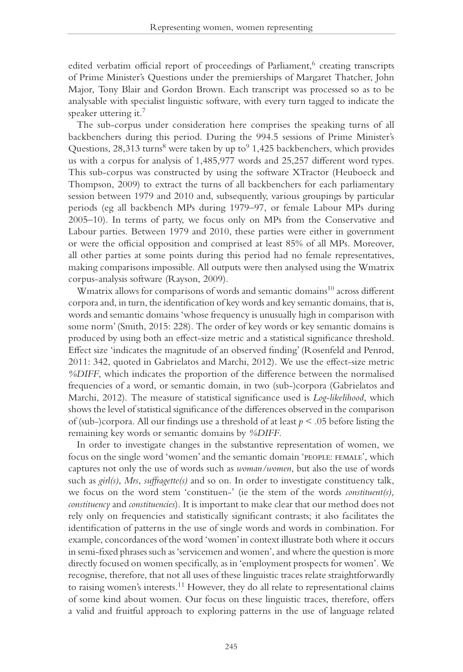edited verbatim official report of proceedings of Parliament,<sup>6</sup> creating transcripts of Prime Minister's Questions under the premierships of Margaret Thatcher, John Major, Tony Blair and Gordon Brown. Each transcript was processed so as to be analysable with specialist linguistic software, with every turn tagged to indicate the speaker uttering it.<sup>7</sup>

The sub-corpus under consideration here comprises the speaking turns of all backbenchers during this period. During the 994.5 sessions of Prime Minister's Questions, 28,313 turns<sup>8</sup> were taken by up to  $9$  1,425 backbenchers, which provides us with a corpus for analysis of 1,485,977 words and 25,257 different word types. This sub-corpus was constructed by using the software XTractor (Heuboeck and Thompson, 2009) to extract the turns of all backbenchers for each parliamentary session between 1979 and 2010 and, subsequently, various groupings by particular periods (eg all backbench MPs during 1979–97, or female Labour MPs during 2005–10). In terms of party, we focus only on MPs from the Conservative and Labour parties. Between 1979 and 2010, these parties were either in government or were the official opposition and comprised at least 85% of all MPs. Moreover, all other parties at some points during this period had no female representatives, making comparisons impossible. All outputs were then analysed using the Wmatrix corpus-analysis software (Rayson, 2009).

Wmatrix allows for comparisons of words and semantic domains<sup>10</sup> across different corpora and, in turn, the identification of key words and key semantic domains, that is, words and semantic domains 'whose frequency is unusually high in comparison with some norm' (Smith, 2015: 228). The order of key words or key semantic domains is produced by using both an effect-size metric and a statistical significance threshold. Effect size 'indicates the magnitude of an observed finding' (Rosenfeld and Penrod, 2011: 342, quoted in Gabrielatos and Marchi, 2012). We use the effect-size metric *%DIFF*, which indicates the proportion of the difference between the normalised frequencies of a word, or semantic domain, in two (sub-)corpora (Gabrielatos and Marchi, 2012). The measure of statistical significance used is *Log-likelihood*, which shows the level of statistical significance of the differences observed in the comparison of (sub-)corpora. All our findings use a threshold of at least *p* < .05 before listing the remaining key words or semantic domains by *%DIFF*.

In order to investigate changes in the substantive representation of women, we focus on the single word 'women' and the semantic domain 'people: female', which captures not only the use of words such as *woman/women*, but also the use of words such as *girl(s)*, *Mrs*, *suffragette(s)* and so on. In order to investigate constituency talk, we focus on the word stem 'constituen-' (ie the stem of the words *constituent(s), constituency* and *constituencies*). It is important to make clear that our method does not rely only on frequencies and statistically significant contrasts; it also facilitates the identification of patterns in the use of single words and words in combination. For example, concordances of the word 'women' in context illustrate both where it occurs in semi-fixed phrases such as 'servicemen and women', and where the question is more directly focused on women specifically, as in 'employment prospects for women'*.* We recognise, therefore, that not all uses of these linguistic traces relate straightforwardly to raising women's interests.<sup>11</sup> However, they do all relate to representational claims of some kind about women. Our focus on these linguistic traces, therefore, offers a valid and fruitful approach to exploring patterns in the use of language related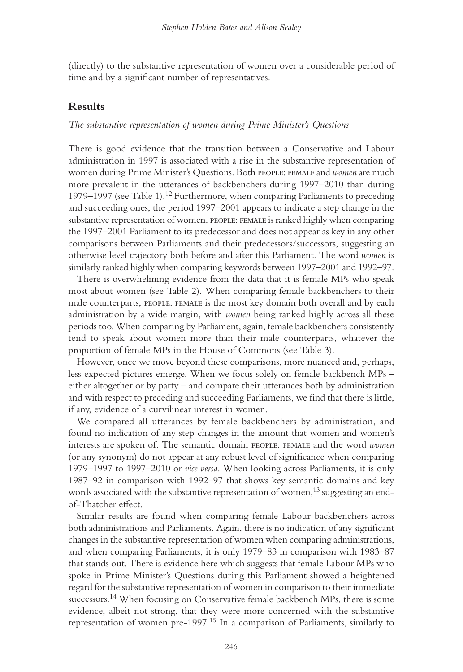(directly) to the substantive representation of women over a considerable period of time and by a significant number of representatives.

# **Results**

#### *The substantive representation of women during Prime Minister's Questions*

There is good evidence that the transition between a Conservative and Labour administration in 1997 is associated with a rise in the substantive representation of women during Prime Minister's Questions. Both people: female and *women* are much more prevalent in the utterances of backbenchers during 1997–2010 than during 1979–1997 (see Table 1).12 Furthermore, when comparing Parliaments to preceding and succeeding ones, the period 1997–2001 appears to indicate a step change in the substantive representation of women. PEOPLE: FEMALE is ranked highly when comparing the 1997–2001 Parliament to its predecessor and does not appear as key in any other comparisons between Parliaments and their predecessors/successors, suggesting an otherwise level trajectory both before and after this Parliament. The word *women* is similarly ranked highly when comparing keywords between 1997–2001 and 1992–97.

There is overwhelming evidence from the data that it is female MPs who speak most about women (see Table 2). When comparing female backbenchers to their male counterparts, PEOPLE: FEMALE is the most key domain both overall and by each administration by a wide margin, with *women* being ranked highly across all these periods too. When comparing by Parliament, again, female backbenchers consistently tend to speak about women more than their male counterparts, whatever the proportion of female MPs in the House of Commons (see Table 3).

However, once we move beyond these comparisons, more nuanced and, perhaps, less expected pictures emerge. When we focus solely on female backbench MPs – either altogether or by party – and compare their utterances both by administration and with respect to preceding and succeeding Parliaments, we find that there is little, if any, evidence of a curvilinear interest in women.

We compared all utterances by female backbenchers by administration, and found no indication of any step changes in the amount that women and women's interests are spoken of. The semantic domain people: female and the word *women*  (or any synonym) do not appear at any robust level of significance when comparing 1979–1997 to 1997–2010 or *vice versa*. When looking across Parliaments, it is only 1987–92 in comparison with 1992–97 that shows key semantic domains and key words associated with the substantive representation of women,<sup>13</sup> suggesting an endof-Thatcher effect.

Similar results are found when comparing female Labour backbenchers across both administrations and Parliaments. Again, there is no indication of any significant changes in the substantive representation of women when comparing administrations, and when comparing Parliaments, it is only 1979–83 in comparison with 1983–87 that stands out. There is evidence here which suggests that female Labour MPs who spoke in Prime Minister's Questions during this Parliament showed a heightened regard for the substantive representation of women in comparison to their immediate successors.<sup>14</sup> When focusing on Conservative female backbench MPs, there is some evidence, albeit not strong, that they were more concerned with the substantive representation of women pre-1997.15 In a comparison of Parliaments, similarly to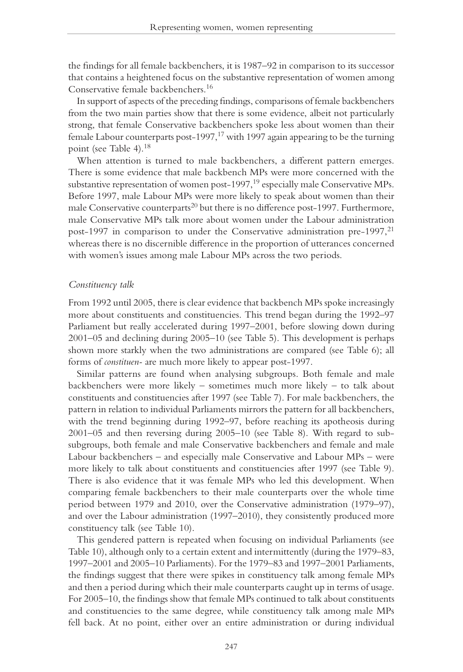the findings for all female backbenchers, it is 1987–92 in comparison to its successor that contains a heightened focus on the substantive representation of women among Conservative female backbenchers.16

In support of aspects of the preceding findings, comparisons of female backbenchers from the two main parties show that there is some evidence, albeit not particularly strong, that female Conservative backbenchers spoke less about women than their female Labour counterparts post-1997, $17$  with 1997 again appearing to be the turning point (see Table 4).18

When attention is turned to male backbenchers, a different pattern emerges. There is some evidence that male backbench MPs were more concerned with the substantive representation of women post-1997,<sup>19</sup> especially male Conservative MPs. Before 1997, male Labour MPs were more likely to speak about women than their male Conservative counterparts<sup>20</sup> but there is no difference post-1997. Furthermore, male Conservative MPs talk more about women under the Labour administration post-1997 in comparison to under the Conservative administration pre-1997, $^{21}$ whereas there is no discernible difference in the proportion of utterances concerned with women's issues among male Labour MPs across the two periods.

#### *Constituency talk*

From 1992 until 2005, there is clear evidence that backbench MPs spoke increasingly more about constituents and constituencies. This trend began during the 1992–97 Parliament but really accelerated during 1997–2001, before slowing down during 2001–05 and declining during 2005–10 (see Table 5). This development is perhaps shown more starkly when the two administrations are compared (see Table 6); all forms of *constituen-* are much more likely to appear post-1997.

Similar patterns are found when analysing subgroups. Both female and male backbenchers were more likely – sometimes much more likely – to talk about constituents and constituencies after 1997 (see Table 7). For male backbenchers, the pattern in relation to individual Parliaments mirrors the pattern for all backbenchers, with the trend beginning during 1992–97, before reaching its apotheosis during 2001–05 and then reversing during 2005–10 (see Table 8). With regard to subsubgroups, both female and male Conservative backbenchers and female and male Labour backbenchers – and especially male Conservative and Labour MPs – were more likely to talk about constituents and constituencies after 1997 (see Table 9). There is also evidence that it was female MPs who led this development. When comparing female backbenchers to their male counterparts over the whole time period between 1979 and 2010, over the Conservative administration (1979–97), and over the Labour administration (1997–2010), they consistently produced more constituency talk (see Table 10).

This gendered pattern is repeated when focusing on individual Parliaments (see Table 10), although only to a certain extent and intermittently (during the 1979–83, 1997–2001 and 2005–10 Parliaments). For the 1979–83 and 1997–2001 Parliaments, the findings suggest that there were spikes in constituency talk among female MPs and then a period during which their male counterparts caught up in terms of usage. For 2005–10, the findings show that female MPs continued to talk about constituents and constituencies to the same degree, while constituency talk among male MPs fell back. At no point, either over an entire administration or during individual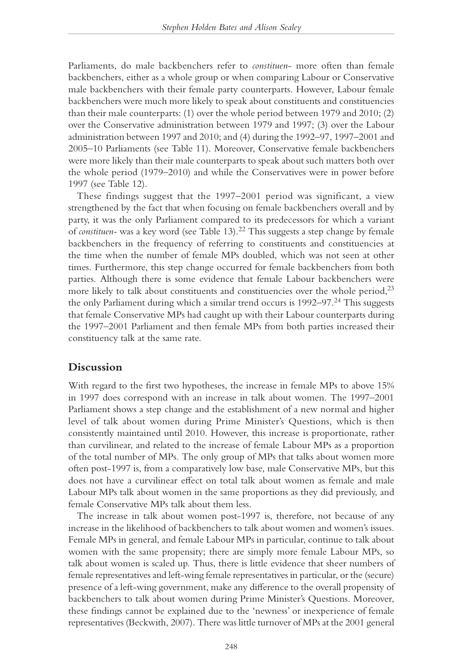Parliaments, do male backbenchers refer to *constituen*- more often than female backbenchers, either as a whole group or when comparing Labour or Conservative male backbenchers with their female party counterparts. However, Labour female backbenchers were much more likely to speak about constituents and constituencies than their male counterparts: (1) over the whole period between 1979 and 2010; (2) over the Conservative administration between 1979 and 1997; (3) over the Labour administration between 1997 and 2010; and (4) during the 1992–97, 1997–2001 and 2005–10 Parliaments (see Table 11). Moreover, Conservative female backbenchers were more likely than their male counterparts to speak about such matters both over the whole period (1979–2010) and while the Conservatives were in power before 1997 (see Table 12).

These findings suggest that the 1997–2001 period was significant, a view strengthened by the fact that when focusing on female backbenchers overall and by party, it was the only Parliament compared to its predecessors for which a variant of *constituen*- was a key word (see Table 13).<sup>22</sup> This suggests a step change by female backbenchers in the frequency of referring to constituents and constituencies at the time when the number of female MPs doubled, which was not seen at other times. Furthermore, this step change occurred for female backbenchers from both parties. Although there is some evidence that female Labour backbenchers were more likely to talk about constituents and constituencies over the whole period, $2<sup>3</sup>$ the only Parliament during which a similar trend occurs is 1992–97.<sup>24</sup> This suggests that female Conservative MPs had caught up with their Labour counterparts during the 1997–2001 Parliament and then female MPs from both parties increased their constituency talk at the same rate.

## **Discussion**

With regard to the first two hypotheses, the increase in female MPs to above 15% in 1997 does correspond with an increase in talk about women. The 1997–2001 Parliament shows a step change and the establishment of a new normal and higher level of talk about women during Prime Minister's Questions, which is then consistently maintained until 2010. However, this increase is proportionate, rather than curvilinear, and related to the increase of female Labour MPs as a proportion of the total number of MPs. The only group of MPs that talks about women more often post-1997 is, from a comparatively low base, male Conservative MPs, but this does not have a curvilinear effect on total talk about women as female and male Labour MPs talk about women in the same proportions as they did previously, and female Conservative MPs talk about them less.

The increase in talk about women post-1997 is, therefore, not because of any increase in the likelihood of backbenchers to talk about women and women's issues. Female MPs in general, and female Labour MPs in particular, continue to talk about women with the same propensity; there are simply more female Labour MPs, so talk about women is scaled up. Thus, there is little evidence that sheer numbers of female representatives and left-wing female representatives in particular, or the (secure) presence of a left-wing government, make any difference to the overall propensity of backbenchers to talk about women during Prime Minister's Questions. Moreover, these findings cannot be explained due to the 'newness' or inexperience of female representatives (Beckwith, 2007). There was little turnover of MPs at the 2001 general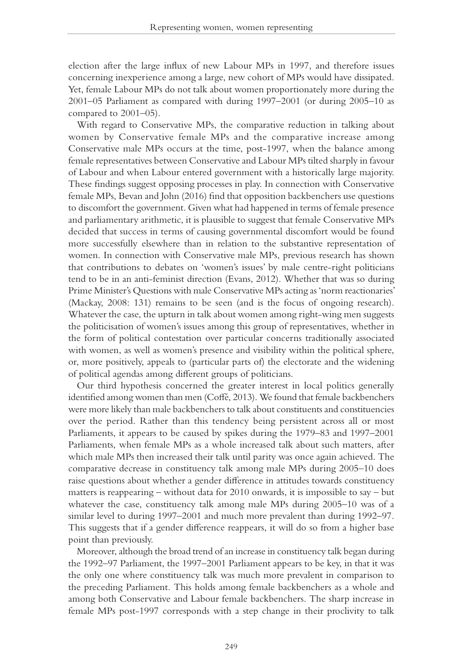election after the large influx of new Labour MPs in 1997, and therefore issues concerning inexperience among a large, new cohort of MPs would have dissipated. Yet, female Labour MPs do not talk about women proportionately more during the 2001–05 Parliament as compared with during 1997–2001 (or during 2005–10 as compared to 2001–05).

With regard to Conservative MPs, the comparative reduction in talking about women by Conservative female MPs and the comparative increase among Conservative male MPs occurs at the time, post-1997, when the balance among female representatives between Conservative and Labour MPs tilted sharply in favour of Labour and when Labour entered government with a historically large majority. These findings suggest opposing processes in play. In connection with Conservative female MPs, Bevan and John (2016) find that opposition backbenchers use questions to discomfort the government. Given what had happened in terms of female presence and parliamentary arithmetic, it is plausible to suggest that female Conservative MPs decided that success in terms of causing governmental discomfort would be found more successfully elsewhere than in relation to the substantive representation of women. In connection with Conservative male MPs, previous research has shown that contributions to debates on 'women's issues' by male centre-right politicians tend to be in an anti-feminist direction (Evans, 2012). Whether that was so during Prime Minister's Questions with male Conservative MPs acting as 'norm reactionaries' (Mackay, 2008: 131) remains to be seen (and is the focus of ongoing research). Whatever the case, the upturn in talk about women among right-wing men suggests the politicisation of women's issues among this group of representatives, whether in the form of political contestation over particular concerns traditionally associated with women, as well as women's presence and visibility within the political sphere, or, more positively, appeals to (particular parts of) the electorate and the widening of political agendas among different groups of politicians.

Our third hypothesis concerned the greater interest in local politics generally identified among women than men (Coffé, 2013). We found that female backbenchers were more likely than male backbenchers to talk about constituents and constituencies over the period. Rather than this tendency being persistent across all or most Parliaments, it appears to be caused by spikes during the 1979–83 and 1997–2001 Parliaments, when female MPs as a whole increased talk about such matters, after which male MPs then increased their talk until parity was once again achieved. The comparative decrease in constituency talk among male MPs during 2005–10 does raise questions about whether a gender difference in attitudes towards constituency matters is reappearing – without data for 2010 onwards, it is impossible to say – but whatever the case, constituency talk among male MPs during 2005–10 was of a similar level to during 1997–2001 and much more prevalent than during 1992–97. This suggests that if a gender difference reappears, it will do so from a higher base point than previously.

Moreover, although the broad trend of an increase in constituency talk began during the 1992–97 Parliament, the 1997–2001 Parliament appears to be key, in that it was the only one where constituency talk was much more prevalent in comparison to the preceding Parliament. This holds among female backbenchers as a whole and among both Conservative and Labour female backbenchers. The sharp increase in female MPs post-1997 corresponds with a step change in their proclivity to talk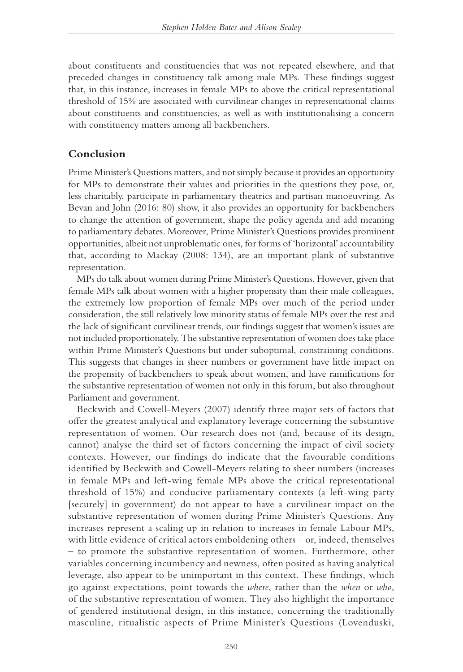about constituents and constituencies that was not repeated elsewhere, and that preceded changes in constituency talk among male MPs. These findings suggest that, in this instance, increases in female MPs to above the critical representational threshold of 15% are associated with curvilinear changes in representational claims about constituents and constituencies, as well as with institutionalising a concern with constituency matters among all backbenchers.

## **Conclusion**

Prime Minister's Questions matters, and not simply because it provides an opportunity for MPs to demonstrate their values and priorities in the questions they pose, or, less charitably, participate in parliamentary theatrics and partisan manoeuvring. As Bevan and John (2016: 80) show, it also provides an opportunity for backbenchers to change the attention of government, shape the policy agenda and add meaning to parliamentary debates. Moreover, Prime Minister's Questions provides prominent opportunities, albeit not unproblematic ones, for forms of 'horizontal' accountability that, according to Mackay (2008: 134), are an important plank of substantive representation.

MPs do talk about women during Prime Minister's Questions. However, given that female MPs talk about women with a higher propensity than their male colleagues, the extremely low proportion of female MPs over much of the period under consideration, the still relatively low minority status of female MPs over the rest and the lack of significant curvilinear trends, our findings suggest that women's issues are not included proportionately. The substantive representation of women does take place within Prime Minister's Questions but under suboptimal, constraining conditions. This suggests that changes in sheer numbers or government have little impact on the propensity of backbenchers to speak about women, and have ramifications for the substantive representation of women not only in this forum, but also throughout Parliament and government.

Beckwith and Cowell-Meyers (2007) identify three major sets of factors that offer the greatest analytical and explanatory leverage concerning the substantive representation of women. Our research does not (and, because of its design, cannot) analyse the third set of factors concerning the impact of civil society contexts. However, our findings do indicate that the favourable conditions identified by Beckwith and Cowell-Meyers relating to sheer numbers (increases in female MPs and left-wing female MPs above the critical representational threshold of 15%) and conducive parliamentary contexts (a left-wing party [securely] in government) do not appear to have a curvilinear impact on the substantive representation of women during Prime Minister's Questions. Any increases represent a scaling up in relation to increases in female Labour MPs, with little evidence of critical actors emboldening others – or, indeed, themselves – to promote the substantive representation of women. Furthermore, other variables concerning incumbency and newness, often posited as having analytical leverage, also appear to be unimportant in this context. These findings, which go against expectations, point towards the *where*, rather than the *when* or *who*, of the substantive representation of women. They also highlight the importance of gendered institutional design, in this instance, concerning the traditionally masculine, ritualistic aspects of Prime Minister's Questions (Lovenduski,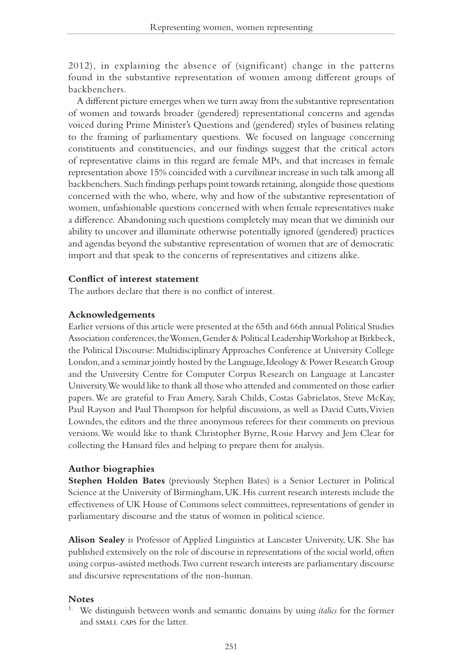2012), in explaining the absence of (significant) change in the patterns found in the substantive representation of women among different groups of backbenchers.

A different picture emerges when we turn away from the substantive representation of women and towards broader (gendered) representational concerns and agendas voiced during Prime Minister's Questions and (gendered) styles of business relating to the framing of parliamentary questions. We focused on language concerning constituents and constituencies, and our findings suggest that the critical actors of representative claims in this regard are female MPs, and that increases in female representation above 15% coincided with a curvilinear increase in such talk among all backbenchers. Such findings perhaps point towards retaining, alongside those questions concerned with the who, where, why and how of the substantive representation of women, unfashionable questions concerned with when female representatives make a difference. Abandoning such questions completely may mean that we diminish our ability to uncover and illuminate otherwise potentially ignored (gendered) practices and agendas beyond the substantive representation of women that are of democratic import and that speak to the concerns of representatives and citizens alike.

### **Conflict of interest statement**

The authors declare that there is no conflict of interest.

#### **Acknowledgements**

Earlier versions of this article were presented at the 65th and 66th annual Political Studies Association conferences, the Women, Gender & Political Leadership Workshop at Birkbeck, the Political Discourse: Multidisciplinary Approaches Conference at University College London, and a seminar jointly hosted by the Language, Ideology & Power Research Group and the University Centre for Computer Corpus Research on Language at Lancaster University. We would like to thank all those who attended and commented on those earlier papers. We are grateful to Fran Amery, Sarah Childs, Costas Gabrielatos, Steve McKay, Paul Rayson and Paul Thompson for helpful discussions, as well as David Cutts, Vivien Lowndes, the editors and the three anonymous referees for their comments on previous versions. We would like to thank Christopher Byrne, Rosie Harvey and Jem Clear for collecting the Hansard files and helping to prepare them for analysis.

#### **Author biographies**

**Stephen Holden Bates** (previously Stephen Bates) is a Senior Lecturer in Political Science at the University of Birmingham, UK. His current research interests include the effectiveness of UK House of Commons select committees, representations of gender in parliamentary discourse and the status of women in political science.

**Alison Sealey** is Professor of Applied Linguistics at Lancaster University, UK. She has published extensively on the role of discourse in representations of the social world, often using corpus-assisted methods. Two current research interests are parliamentary discourse and discursive representations of the non-human.

#### **Notes**

1. We distinguish between words and semantic domains by using *italics* for the former and small caps for the latter.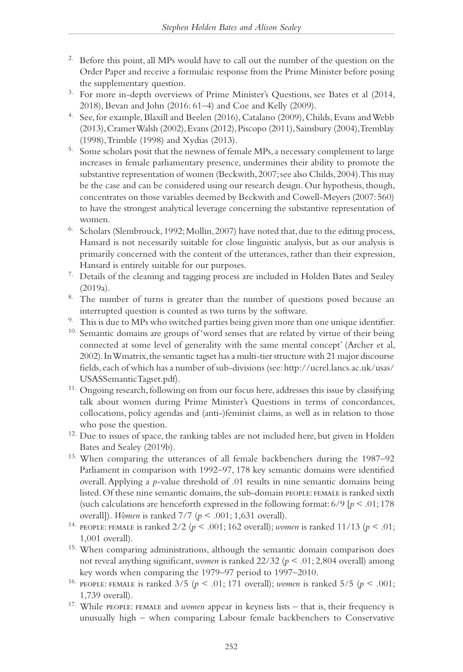- <sup>2.</sup> Before this point, all MPs would have to call out the number of the question on the Order Paper and receive a formulaic response from the Prime Minister before posing the supplementary question.
- 3. For more in-depth overviews of Prime Minister's Questions, see Bates et al (2014, 2018), Bevan and John (2016: 61–4) and Coe and Kelly (2009).
- 4. See, for example, Blaxill and Beelen (2016), Catalano (2009), Childs, Evans and Webb (2013), Cramer Walsh (2002), Evans (2012), Piscopo (2011), Sainsbury (2004), Tremblay (1998), Trimble (1998) and Xydias (2013).
- <sup>5.</sup> Some scholars posit that the newness of female MPs, a necessary complement to large increases in female parliamentary presence, undermines their ability to promote the substantive representation of women (Beckwith, 2007; see also Childs, 2004). This may be the case and can be considered using our research design. Our hypothesis, though, concentrates on those variables deemed by Beckwith and Cowell-Meyers (2007: 560) to have the strongest analytical leverage concerning the substantive representation of women.
- <sup>6.</sup> Scholars (Slembrouck, 1992; Mollin, 2007) have noted that, due to the editing process, Hansard is not necessarily suitable for close linguistic analysis, but as our analysis is primarily concerned with the content of the utterances, rather than their expression, Hansard is entirely suitable for our purposes.
- <sup>7.</sup> Details of the cleaning and tagging process are included in Holden Bates and Sealey (2019a).
- <sup>8.</sup> The number of turns is greater than the number of questions posed because an interrupted question is counted as two turns by the software.
- <sup>9.</sup> This is due to MPs who switched parties being given more than one unique identifier.
- <sup>10.</sup> Semantic domains are groups of 'word senses that are related by virtue of their being connected at some level of generality with the same mental concept' (Archer et al, 2002). In Wmatrix, the semantic tagset has a multi-tier structure with 21 major discourse fields, each of which has a number of sub-divisions (see: http://ucrel.lancs.ac.uk/usas/ USASSemanticTagset.pdf).
- <sup>11.</sup> Ongoing research, following on from our focus here, addresses this issue by classifying talk about women during Prime Minister's Questions in terms of concordances, collocations, policy agendas and (anti-)feminist claims, as well as in relation to those who pose the question.
- <sup>12.</sup> Due to issues of space, the ranking tables are not included here, but given in Holden Bates and Sealey (2019b).
- 13. When comparing the utterances of all female backbenchers during the 1987–92 Parliament in comparison with 1992–97, 178 key semantic domains were identified overall. Applying a *p*-value threshold of .01 results in nine semantic domains being listed. Of these nine semantic domains, the sub-domain people: female is ranked sixth (such calculations are henceforth expressed in the following format:  $6/9$  [ $p < .01$ ; 178 overall]). *Women* is ranked 7/7 (*p* < .001; 1,631 overall).
- 14. people: female is ranked 2/2 (*p* < .001; 162 overall); *women* is ranked 11/13 (*p* < .01; 1,001 overall).
- 15. When comparing administrations, although the semantic domain comparison does not reveal anything significant, *women* is ranked 22/32 (*p* < .01; 2,804 overall) among key words when comparing the 1979–97 period to 1997–2010.
- <sup>16.</sup> PEOPLE: FEMALE is ranked  $3/5$  ( $p < .01$ ; 171 overall); *women* is ranked  $5/5$  ( $p < .001$ ; 1,739 overall).
- 17. While people: female and *women* appear in keyness lists that is, their frequency is unusually high – when comparing Labour female backbenchers to Conservative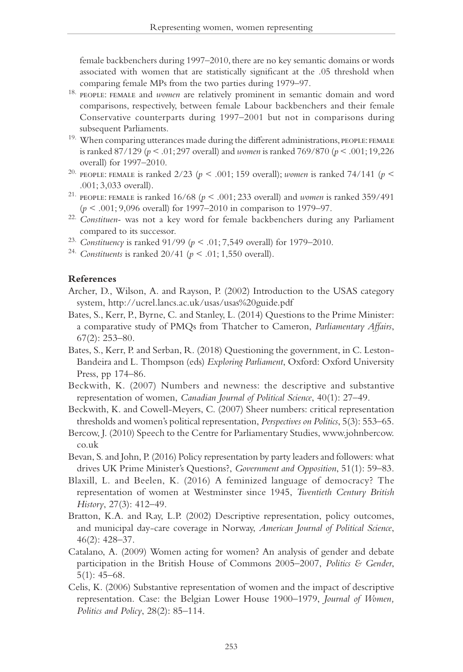female backbenchers during 1997–2010, there are no key semantic domains or words associated with women that are statistically significant at the .05 threshold when comparing female MPs from the two parties during 1979–97.

- 18. people: female and *women* are relatively prominent in semantic domain and word comparisons, respectively, between female Labour backbenchers and their female Conservative counterparts during 1997–2001 but not in comparisons during subsequent Parliaments.
- <sup>19.</sup> When comparing utterances made during the different administrations, PEOPLE: FEMALE is ranked 87/129 (*p* < .01; 297 overall) and *women* is ranked 769/870 (*p* < .001; 19,226 overall) for 1997–2010.
- 20. people: female is ranked 2/23 (*p* < .001; 159 overall); *women* is ranked 74/141 (*p* < .001; 3,033 overall).
- <sup>21.</sup> PEOPLE: FEMALE is ranked  $16/68$  ( $p < .001$ ; 233 overall) and *women* is ranked 359/491 (*p* < .001; 9,096 overall) for 1997–2010 in comparison to 1979–97.
- 22. *Constituen-* was not a key word for female backbenchers during any Parliament compared to its successor.
- 23. *Constituency* is ranked 91/99 (*p* < .01; 7,549 overall) for 1979–2010.
- <sup>24.</sup> *Constituents* is ranked 20/41 ( $p < .01$ ; 1,550 overall).

#### **References**

- Archer, D., Wilson, A. and Rayson, P. (2002) Introduction to the USAS category system, http://ucrel.lancs.ac.uk/usas/usas%20guide.pdf
- Bates, S., Kerr, P., Byrne, C. and Stanley, L. (2014) Questions to the Prime Minister: a comparative study of PMQs from Thatcher to Cameron, *Parliamentary Affairs*, 67(2): 253–80.
- Bates, S., Kerr, P. and Serban, R. (2018) Questioning the government, in C. Leston-Bandeira and L. Thompson (eds) *Exploring Parliament*, Oxford: Oxford University Press, pp 174–86.
- Beckwith, K. (2007) Numbers and newness: the descriptive and substantive representation of women, *Canadian Journal of Political Science*, 40(1): 27–49.
- Beckwith, K. and Cowell-Meyers, C. (2007) Sheer numbers: critical representation thresholds and women's political representation, *Perspectives on Politics*, 5(3): 553–65.
- Bercow, J. (2010) Speech to the Centre for Parliamentary Studies, www.johnbercow. co.uk
- Bevan, S. and John, P. (2016) Policy representation by party leaders and followers: what drives UK Prime Minister's Questions?, *Government and Opposition*, 51(1): 59–83.
- Blaxill, L. and Beelen, K. (2016) A feminized language of democracy? The representation of women at Westminster since 1945, *Twentieth Century British History*, 27(3): 412–49.
- Bratton, K.A. and Ray, L.P. (2002) Descriptive representation, policy outcomes, and municipal day-care coverage in Norway, *American Journal of Political Science*, 46(2): 428–37.
- Catalano, A. (2009) Women acting for women? An analysis of gender and debate participation in the British House of Commons 2005–2007, *Politics & Gender*, 5(1): 45–68.
- Celis, K. (2006) Substantive representation of women and the impact of descriptive representation. Case: the Belgian Lower House 1900–1979, *Journal of Women, Politics and Policy*, 28(2): 85–114.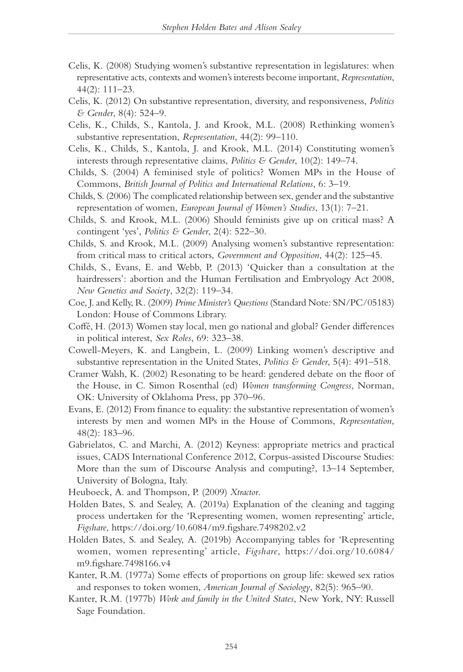- Celis, K. (2008) Studying women's substantive representation in legislatures: when representative acts, contexts and women's interests become important, *Representation*, 44(2): 111–23.
- Celis, K. (2012) On substantive representation, diversity, and responsiveness, *Politics & Gender*, 8(4): 524–9.
- Celis, K., Childs, S., Kantola, J. and Krook, M.L. (2008) Rethinking women's substantive representation, *Representation*, 44(2): 99–110.
- Celis, K., Childs, S., Kantola, J. and Krook, M.L. (2014) Constituting women's interests through representative claims, *Politics & Gender*, 10(2): 149–74.
- Childs, S. (2004) A feminised style of politics? Women MPs in the House of Commons, *British Journal of Politics and International Relations*, 6: 3–19.
- Childs, S. (2006) The complicated relationship between sex, gender and the substantive representation of women, *European Journal of Women's Studies*, 13(1): 7–21.
- Childs, S. and Krook, M.L. (2006) Should feminists give up on critical mass? A contingent 'yes', *Politics & Gender*, 2(4): 522–30.
- Childs, S. and Krook, M.L. (2009) Analysing women's substantive representation: from critical mass to critical actors, *Government and Opposition*, 44(2): 125–45.
- Childs, S., Evans, E. and Webb, P. (2013) 'Quicker than a consultation at the hairdressers': abortion and the Human Fertilisation and Embryology Act 2008, *New Genetics and Society*, 32(2): 119–34.
- Coe, J. and Kelly, R. (2009) *Prime Minister's Questions* (Standard Note: SN/PC/05183) London: House of Commons Library.
- Coffé, H. (2013) Women stay local, men go national and global? Gender differences in political interest, *Sex Roles*, 69: 323–38.
- Cowell-Meyers, K. and Langbein, L. (2009) Linking women's descriptive and substantive representation in the United States, *Politics & Gender*, 5(4): 491–518.
- Cramer Walsh, K. (2002) Resonating to be heard: gendered debate on the floor of the House, in C. Simon Rosenthal (ed) *Women transforming Congress*, Norman, OK: University of Oklahoma Press, pp 370–96.
- Evans, E. (2012) From finance to equality: the substantive representation of women's interests by men and women MPs in the House of Commons, *Representation*, 48(2): 183–96.
- Gabrielatos, C. and Marchi, A. (2012) Keyness: appropriate metrics and practical issues, CADS International Conference 2012, Corpus-assisted Discourse Studies: More than the sum of Discourse Analysis and computing?, 13–14 September, University of Bologna, Italy.
- Heuboeck, A. and Thompson, P. (2009) *Xtractor*.
- Holden Bates, S. and Sealey, A. (2019a) Explanation of the cleaning and tagging process undertaken for the 'Representing women, women representing' article, *Figshare*, https://doi.org/10.6084/m9.figshare.7498202.v2
- Holden Bates, S. and Sealey, A. (2019b) Accompanying tables for 'Representing women, women representing' article, *Figshare*, https://doi.org/10.6084/ m9.figshare.7498166.v4
- Kanter, R.M. (1977a) Some effects of proportions on group life: skewed sex ratios and responses to token women, *American Journal of Sociology*, 82(5): 965–90.
- Kanter, R.M. (1977b) *Work and family in the United States*, New York, NY: Russell Sage Foundation.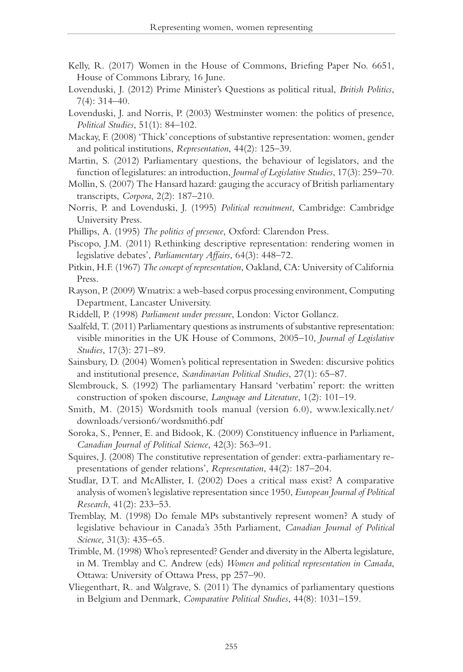- Kelly, R. (2017) Women in the House of Commons, Briefing Paper No. 6651, House of Commons Library, 16 June.
- Lovenduski, J. (2012) Prime Minister's Questions as political ritual, *British Politics*, 7(4): 314–40.
- Lovenduski, J. and Norris, P. (2003) Westminster women: the politics of presence, *Political Studies*, 51(1): 84–102.
- Mackay, F. (2008) 'Thick' conceptions of substantive representation: women, gender and political institutions, *Representation*, 44(2): 125–39.
- Martin, S. (2012) Parliamentary questions, the behaviour of legislators, and the function of legislatures: an introduction, *Journal of Legislative Studies*, 17(3): 259–70.
- Mollin, S. (2007) The Hansard hazard: gauging the accuracy of British parliamentary transcripts, *Corpora*, 2(2): 187–210.
- Norris, P. and Lovenduski, J. (1995) *Political recruitment*, Cambridge: Cambridge University Press.
- Phillips, A. (1995) *The politics of presence*, Oxford: Clarendon Press.
- Piscopo, J.M. (2011) Rethinking descriptive representation: rendering women in legislative debates', *Parliamentary Affairs*, 64(3): 448–72.
- Pitkin, H.F. (1967) *The concept of representation*, Oakland, CA: University of California Press.
- Rayson, P. (2009) Wmatrix: a web-based corpus processing environment, Computing Department, Lancaster University.
- Riddell, P. (1998) *Parliament under pressure*, London: Victor Gollancz.
- Saalfeld, T. (2011) Parliamentary questions as instruments of substantive representation: visible minorities in the UK House of Commons, 2005–10, *Journal of Legislative Studies*, 17(3): 271–89.
- Sainsbury, D. (2004) Women's political representation in Sweden: discursive politics and institutional presence, *Scandinavian Political Studies*, 27(1): 65–87.
- Slembrouck, S. (1992) The parliamentary Hansard 'verbatim' report: the written construction of spoken discourse, *Language and Literature*, 1(2): 101–19.
- Smith, M. (2015) Wordsmith tools manual (version 6.0), www.lexically.net/ downloads/version6/wordsmith6.pdf
- Soroka, S., Penner, E. and Bidook, K. (2009) Constituency influence in Parliament, *Canadian Journal of Political Science*, 42(3): 563–91.
- Squires, J. (2008) The constitutive representation of gender: extra-parliamentary representations of gender relations', *Representation*, 44(2): 187–204.
- Studlar, D.T. and McAllister, I. (2002) Does a critical mass exist? A comparative analysis of women's legislative representation since 1950, *European Journal of Political Research*, 41(2): 233–53.
- Tremblay, M. (1998) Do female MPs substantively represent women? A study of legislative behaviour in Canada's 35th Parliament, *Canadian Journal of Political Science*, 31(3): 435–65.
- Trimble, M. (1998) Who's represented? Gender and diversity in the Alberta legislature, in M. Tremblay and C. Andrew (eds) *Women and political representation in Canada*, Ottawa: University of Ottawa Press, pp 257–90.
- Vliegenthart, R. and Walgrave, S. (2011) The dynamics of parliamentary questions in Belgium and Denmark, *Comparative Political Studies*, 44(8): 1031–159.